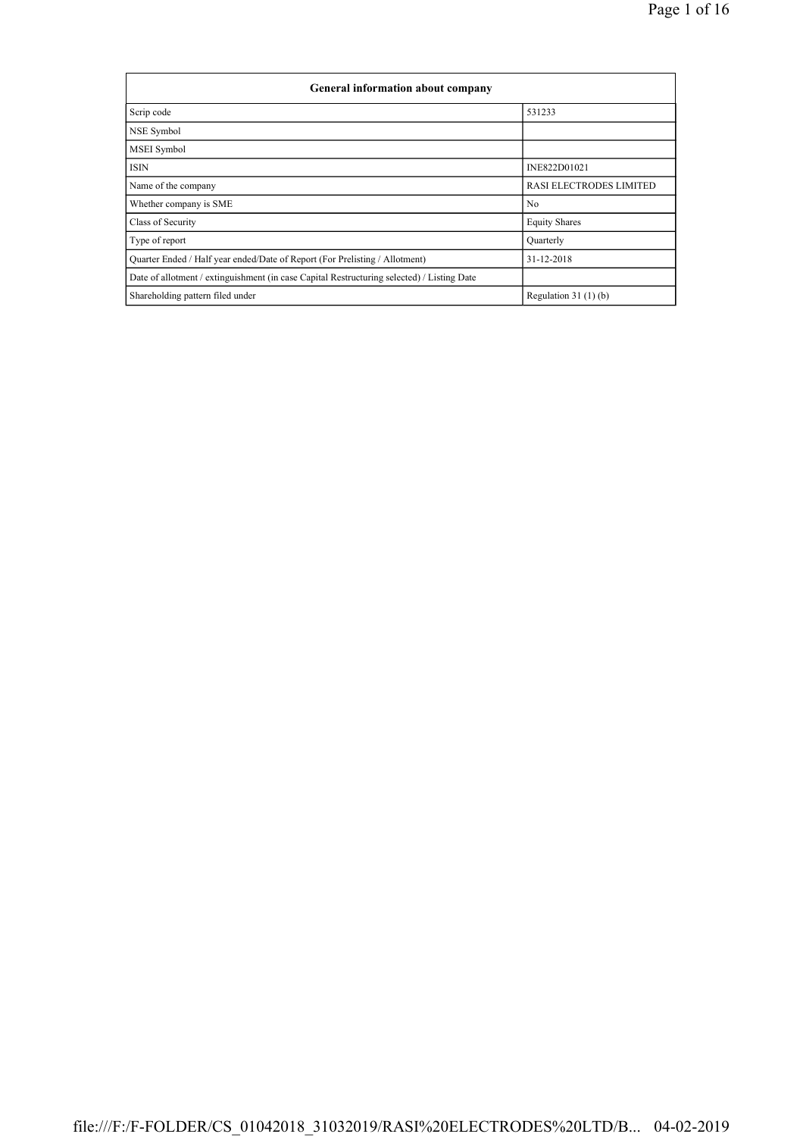| <b>General information about company</b>                                                   |                         |  |  |  |  |  |  |
|--------------------------------------------------------------------------------------------|-------------------------|--|--|--|--|--|--|
| Scrip code                                                                                 | 531233                  |  |  |  |  |  |  |
| NSE Symbol                                                                                 |                         |  |  |  |  |  |  |
| MSEI Symbol                                                                                |                         |  |  |  |  |  |  |
| <b>ISIN</b>                                                                                | INE822D01021            |  |  |  |  |  |  |
| Name of the company                                                                        | RASI ELECTRODES LIMITED |  |  |  |  |  |  |
| Whether company is SME                                                                     | No                      |  |  |  |  |  |  |
| Class of Security                                                                          | <b>Equity Shares</b>    |  |  |  |  |  |  |
| Type of report                                                                             | Ouarterly               |  |  |  |  |  |  |
| Quarter Ended / Half year ended/Date of Report (For Prelisting / Allotment)                | 31-12-2018              |  |  |  |  |  |  |
| Date of allotment / extinguishment (in case Capital Restructuring selected) / Listing Date |                         |  |  |  |  |  |  |
| Shareholding pattern filed under                                                           | Regulation $31(1)(b)$   |  |  |  |  |  |  |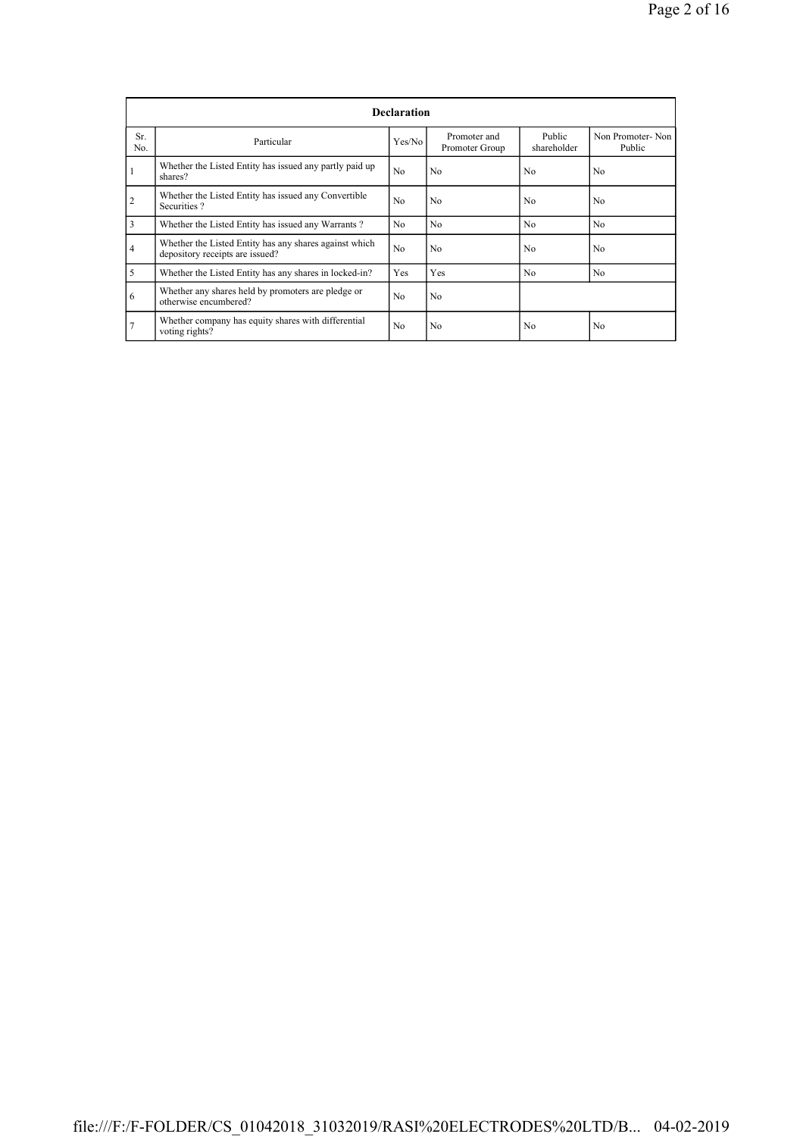|                | <b>Declaration</b>                                                                        |        |                                |                       |                            |  |  |  |  |  |
|----------------|-------------------------------------------------------------------------------------------|--------|--------------------------------|-----------------------|----------------------------|--|--|--|--|--|
| Sr.<br>No.     | Particular                                                                                | Yes/No | Promoter and<br>Promoter Group | Public<br>shareholder | Non Promoter-Non<br>Public |  |  |  |  |  |
|                | Whether the Listed Entity has issued any partly paid up<br>shares?                        | No     | N <sub>0</sub>                 | N <sub>0</sub>        | N <sub>0</sub>             |  |  |  |  |  |
| $\overline{c}$ | Whether the Listed Entity has issued any Convertible<br>Securities?                       | No.    | N <sub>0</sub>                 | No                    | No.                        |  |  |  |  |  |
| 3              | Whether the Listed Entity has issued any Warrants?                                        | No.    | N <sub>0</sub>                 | N <sub>0</sub>        | N <sub>0</sub>             |  |  |  |  |  |
| $\overline{4}$ | Whether the Listed Entity has any shares against which<br>depository receipts are issued? | No     | N <sub>0</sub>                 | N <sub>0</sub>        | N <sub>0</sub>             |  |  |  |  |  |
| 5              | Whether the Listed Entity has any shares in locked-in?                                    | Yes    | Yes                            | No                    | N <sub>0</sub>             |  |  |  |  |  |
| 6              | Whether any shares held by promoters are pledge or<br>otherwise encumbered?               | No     | N <sub>0</sub>                 |                       |                            |  |  |  |  |  |
| 7              | Whether company has equity shares with differential<br>voting rights?                     | No     | N <sub>0</sub>                 | No                    | N <sub>0</sub>             |  |  |  |  |  |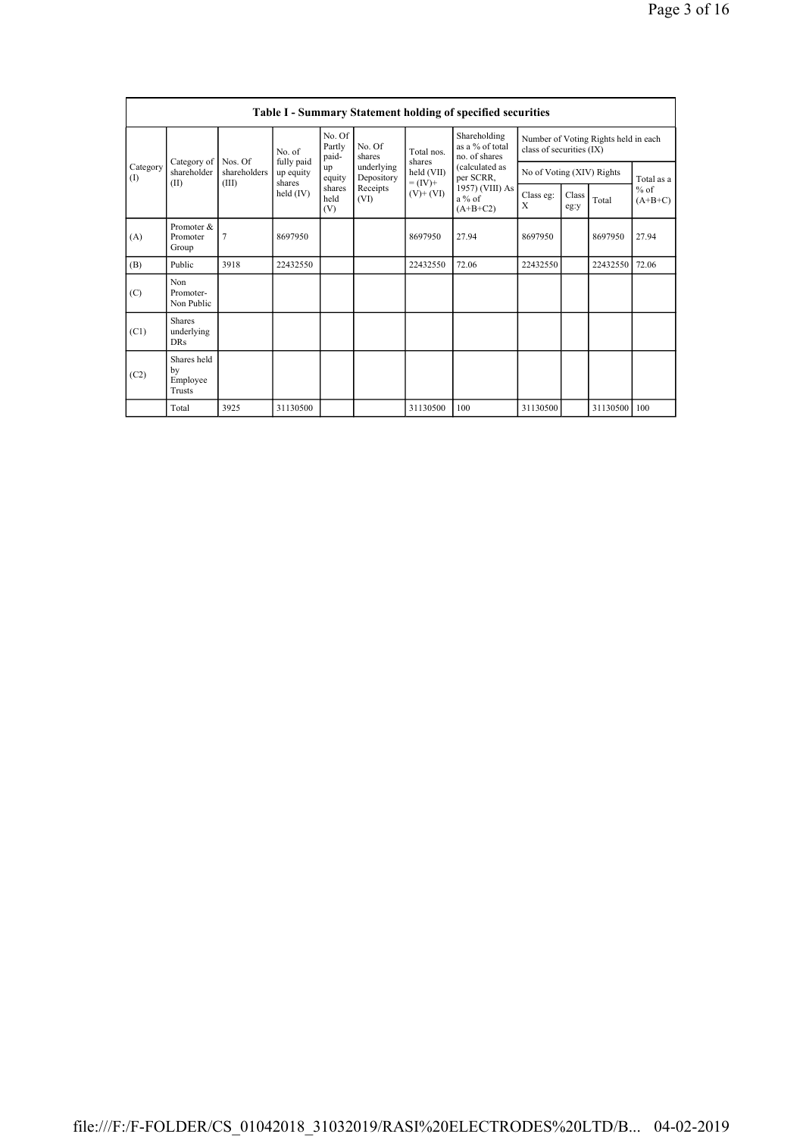|                 | <b>Table I - Summary Statement holding of specified securities</b> |                         |                                   |                           |                          |                                                      |                                                                                                                              |                                                                  |               |          |                     |  |
|-----------------|--------------------------------------------------------------------|-------------------------|-----------------------------------|---------------------------|--------------------------|------------------------------------------------------|------------------------------------------------------------------------------------------------------------------------------|------------------------------------------------------------------|---------------|----------|---------------------|--|
| Category<br>(I) |                                                                    |                         | No. of                            | No. Of<br>Partly<br>paid- | No. Of<br>shares         | Total nos.                                           | Shareholding<br>as a % of total<br>no. of shares<br>(calculated as<br>per SCRR,<br>1957) (VIII) As<br>$a\%$ of<br>$(A+B+C2)$ | Number of Voting Rights held in each<br>class of securities (IX) |               |          |                     |  |
|                 | Category of<br>shareholder                                         | Nos. Of<br>shareholders | fully paid<br>up equity<br>shares | up<br>equity              | underlying<br>Depository | shares<br>held (VII)<br>$= (IV) +$<br>$(V)$ + $(VI)$ |                                                                                                                              | No of Voting (XIV) Rights                                        |               |          | Total as a          |  |
|                 | (II)                                                               | (III)                   | held (IV)                         | shares<br>held<br>(V)     | Receipts<br>(VI)         |                                                      |                                                                                                                              | Class eg:<br>X                                                   | Class<br>eg:y | Total    | $%$ of<br>$(A+B+C)$ |  |
| (A)             | Promoter &<br>Promoter<br>Group                                    | $\overline{7}$          | 8697950                           |                           |                          | 8697950                                              | 27.94                                                                                                                        | 8697950                                                          |               | 8697950  | 27.94               |  |
| (B)             | Public                                                             | 3918                    | 22432550                          |                           |                          | 22432550                                             | 72.06                                                                                                                        | 22432550                                                         |               | 22432550 | 72.06               |  |
| (C)             | Non<br>Promoter-<br>Non Public                                     |                         |                                   |                           |                          |                                                      |                                                                                                                              |                                                                  |               |          |                     |  |
| (C1)            | <b>Shares</b><br>underlying<br><b>DRs</b>                          |                         |                                   |                           |                          |                                                      |                                                                                                                              |                                                                  |               |          |                     |  |
| (C2)            | Shares held<br>by<br>Employee<br>Trusts                            |                         |                                   |                           |                          |                                                      |                                                                                                                              |                                                                  |               |          |                     |  |
|                 | Total                                                              | 3925                    | 31130500                          |                           |                          | 31130500                                             | 100                                                                                                                          | 31130500                                                         |               | 31130500 | 100                 |  |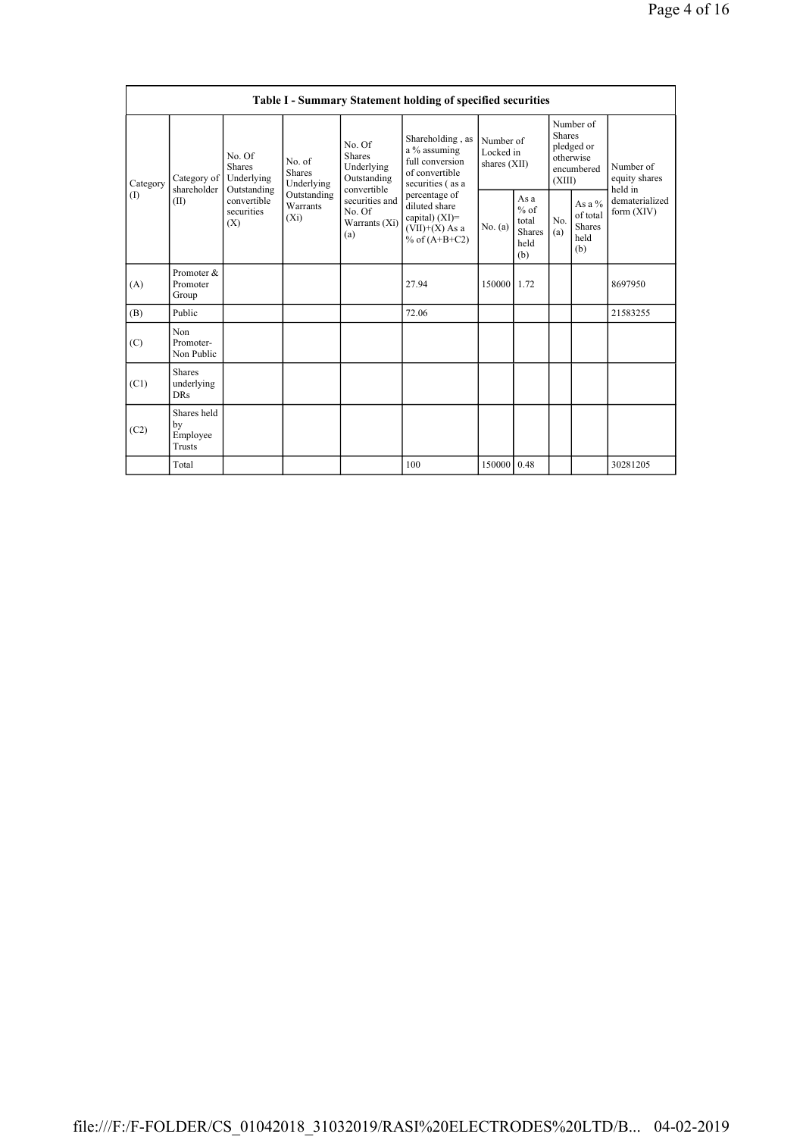| Table I - Summary Statement holding of specified securities |                                           |                                                                                                                                                                  |                                                  |                                                                                            |                                                                                           |                                                         |            |                                                                               |                                |                                       |
|-------------------------------------------------------------|-------------------------------------------|------------------------------------------------------------------------------------------------------------------------------------------------------------------|--------------------------------------------------|--------------------------------------------------------------------------------------------|-------------------------------------------------------------------------------------------|---------------------------------------------------------|------------|-------------------------------------------------------------------------------|--------------------------------|---------------------------------------|
| Category<br>(1)                                             | Category of<br>shareholder<br>(II)        | No. Of<br>No. of<br>Shares<br><b>Shares</b><br>Underlying<br>Underlying<br>Outstanding<br>Outstanding<br>convertible<br>Warrants<br>securities<br>$(X_i)$<br>(X) |                                                  | No. Of<br>Shares<br>Underlying<br>Outstanding<br>convertible                               | Shareholding, as<br>a % assuming<br>full conversion<br>of convertible<br>securities (as a | Number of<br>Locked in<br>shares (XII)                  |            | Number of<br><b>Shares</b><br>pledged or<br>otherwise<br>encumbered<br>(XIII) |                                | Number of<br>equity shares<br>held in |
|                                                             |                                           |                                                                                                                                                                  | securities and<br>No. Of<br>Warrants (Xi)<br>(a) | percentage of<br>diluted share<br>capital) $(XI)$ =<br>$(VII)+(X)$ As a<br>% of $(A+B+C2)$ | No. (a)                                                                                   | As a<br>$%$ of<br>total<br><b>Shares</b><br>held<br>(b) | No.<br>(a) | As a %<br>of total<br><b>Shares</b><br>held<br>(b)                            | dematerialized<br>form $(XIV)$ |                                       |
| (A)                                                         | Promoter &<br>Promoter<br>Group           |                                                                                                                                                                  |                                                  |                                                                                            | 27.94                                                                                     | 150000 1.72                                             |            |                                                                               |                                | 8697950                               |
| (B)                                                         | Public                                    |                                                                                                                                                                  |                                                  |                                                                                            | 72.06                                                                                     |                                                         |            |                                                                               |                                | 21583255                              |
| (C)                                                         | Non<br>Promoter-<br>Non Public            |                                                                                                                                                                  |                                                  |                                                                                            |                                                                                           |                                                         |            |                                                                               |                                |                                       |
| (C1)                                                        | <b>Shares</b><br>underlying<br><b>DRs</b> |                                                                                                                                                                  |                                                  |                                                                                            |                                                                                           |                                                         |            |                                                                               |                                |                                       |
| (C2)                                                        | Shares held<br>by<br>Employee<br>Trusts   |                                                                                                                                                                  |                                                  |                                                                                            |                                                                                           |                                                         |            |                                                                               |                                |                                       |
|                                                             | Total                                     |                                                                                                                                                                  |                                                  |                                                                                            | 100                                                                                       | 150000 0.48                                             |            |                                                                               |                                | 30281205                              |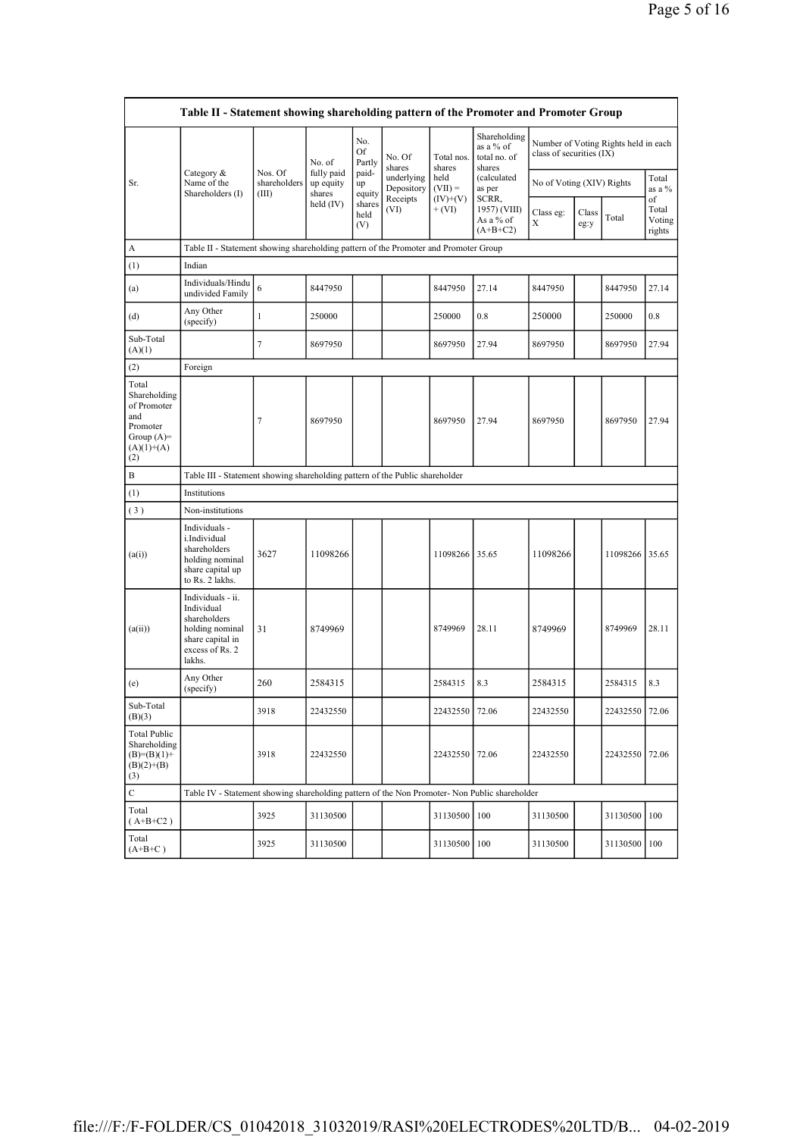|                                                                                                | Table II - Statement showing shareholding pattern of the Promoter and Promoter Group                                |                                  |                                   |                       |                          |                        |                                                     |                                                                  |               |          |                                 |  |
|------------------------------------------------------------------------------------------------|---------------------------------------------------------------------------------------------------------------------|----------------------------------|-----------------------------------|-----------------------|--------------------------|------------------------|-----------------------------------------------------|------------------------------------------------------------------|---------------|----------|---------------------------------|--|
|                                                                                                |                                                                                                                     |                                  | No. of                            | No.<br>Of<br>Partly   | No. Of<br>shares         | Total nos.<br>shares   | Shareholding<br>as a % of<br>total no. of<br>shares | Number of Voting Rights held in each<br>class of securities (IX) |               |          |                                 |  |
| Sr.                                                                                            | Category $\&$<br>Name of the<br>Shareholders (I)                                                                    | Nos. Of<br>shareholders<br>(III) | fully paid<br>up equity<br>shares | paid-<br>up<br>equity | underlying<br>Depository | held<br>$(VII) =$      | (calculated<br>as per                               | No of Voting (XIV) Rights                                        |               |          | Total<br>as a $\%$              |  |
|                                                                                                |                                                                                                                     |                                  | held $(IV)$                       | shares<br>held<br>(V) | Receipts<br>(VI)         | $(IV)+(V)$<br>$+ (VI)$ | SCRR,<br>1957) (VIII)<br>As a % of<br>$(A+B+C2)$    | Class eg:<br>X                                                   | Class<br>eg:y | Total    | of<br>Total<br>Voting<br>rights |  |
| A                                                                                              | Table II - Statement showing shareholding pattern of the Promoter and Promoter Group                                |                                  |                                   |                       |                          |                        |                                                     |                                                                  |               |          |                                 |  |
| (1)                                                                                            | Indian                                                                                                              |                                  |                                   |                       |                          |                        |                                                     |                                                                  |               |          |                                 |  |
| (a)                                                                                            | Individuals/Hindu<br>undivided Family                                                                               | 6                                | 8447950                           |                       |                          | 8447950                | 27.14                                               | 8447950                                                          |               | 8447950  | 27.14                           |  |
| (d)                                                                                            | Any Other<br>(specify)                                                                                              | $\mathbf{1}$                     | 250000                            |                       |                          | 250000                 | 0.8                                                 | 250000                                                           |               | 250000   | 0.8                             |  |
| Sub-Total<br>(A)(1)                                                                            |                                                                                                                     | $\boldsymbol{7}$                 | 8697950                           |                       |                          | 8697950                | 27.94                                               | 8697950                                                          |               | 8697950  | 27.94                           |  |
| (2)                                                                                            | Foreign                                                                                                             |                                  |                                   |                       |                          |                        |                                                     |                                                                  |               |          |                                 |  |
| Total<br>Shareholding<br>of Promoter<br>and<br>Promoter<br>Group $(A)=$<br>$(A)(1)+(A)$<br>(2) |                                                                                                                     | 7                                | 8697950                           |                       |                          | 8697950                | 27.94                                               | 8697950                                                          |               | 8697950  | 27.94                           |  |
| B                                                                                              | Table III - Statement showing shareholding pattern of the Public shareholder                                        |                                  |                                   |                       |                          |                        |                                                     |                                                                  |               |          |                                 |  |
| (1)                                                                                            | Institutions                                                                                                        |                                  |                                   |                       |                          |                        |                                                     |                                                                  |               |          |                                 |  |
| (3)                                                                                            | Non-institutions                                                                                                    |                                  |                                   |                       |                          |                        |                                                     |                                                                  |               |          |                                 |  |
| (a(i))                                                                                         | Individuals -<br>i.Individual<br>shareholders<br>holding nominal<br>share capital up<br>to Rs. 2 lakhs.             | 3627                             | 11098266                          |                       |                          | 11098266               | 35.65                                               | 11098266                                                         |               | 11098266 | 35.65                           |  |
| (a(ii))                                                                                        | Individuals - ii.<br>Individual<br>shareholders<br>holding nominal<br>share capital in<br>excess of Rs. 2<br>lakhs. | 31                               | 8749969                           |                       |                          | 8749969                | 28.11                                               | 8749969                                                          |               | 8749969  | 28.11                           |  |
| (e)                                                                                            | Any Other<br>(specify)                                                                                              | 260                              | 2584315                           |                       |                          | 2584315                | 8.3                                                 | 2584315                                                          |               | 2584315  | 8.3                             |  |
| Sub-Total<br>(B)(3)                                                                            |                                                                                                                     | 3918                             | 22432550                          |                       |                          | 22432550 72.06         |                                                     | 22432550                                                         |               | 22432550 | 72.06                           |  |
| <b>Total Public</b><br>Shareholding<br>$(B)= (B)(1) +$<br>$(B)(2)+(B)$<br>(3)                  |                                                                                                                     | 3918                             | 22432550                          |                       |                          | 22432550 72.06         |                                                     | 22432550                                                         |               | 22432550 | 72.06                           |  |
| $\mathbf C$                                                                                    | Table IV - Statement showing shareholding pattern of the Non Promoter- Non Public shareholder                       |                                  |                                   |                       |                          |                        |                                                     |                                                                  |               |          |                                 |  |
| Total<br>$(A+B+C2)$                                                                            |                                                                                                                     | 3925                             | 31130500                          |                       |                          | 31130500               | 100                                                 | 31130500                                                         |               | 31130500 | 100                             |  |
| Total<br>$(A+B+C)$                                                                             |                                                                                                                     | 3925                             | 31130500                          |                       |                          | 31130500 100           |                                                     | 31130500                                                         |               | 31130500 | 100                             |  |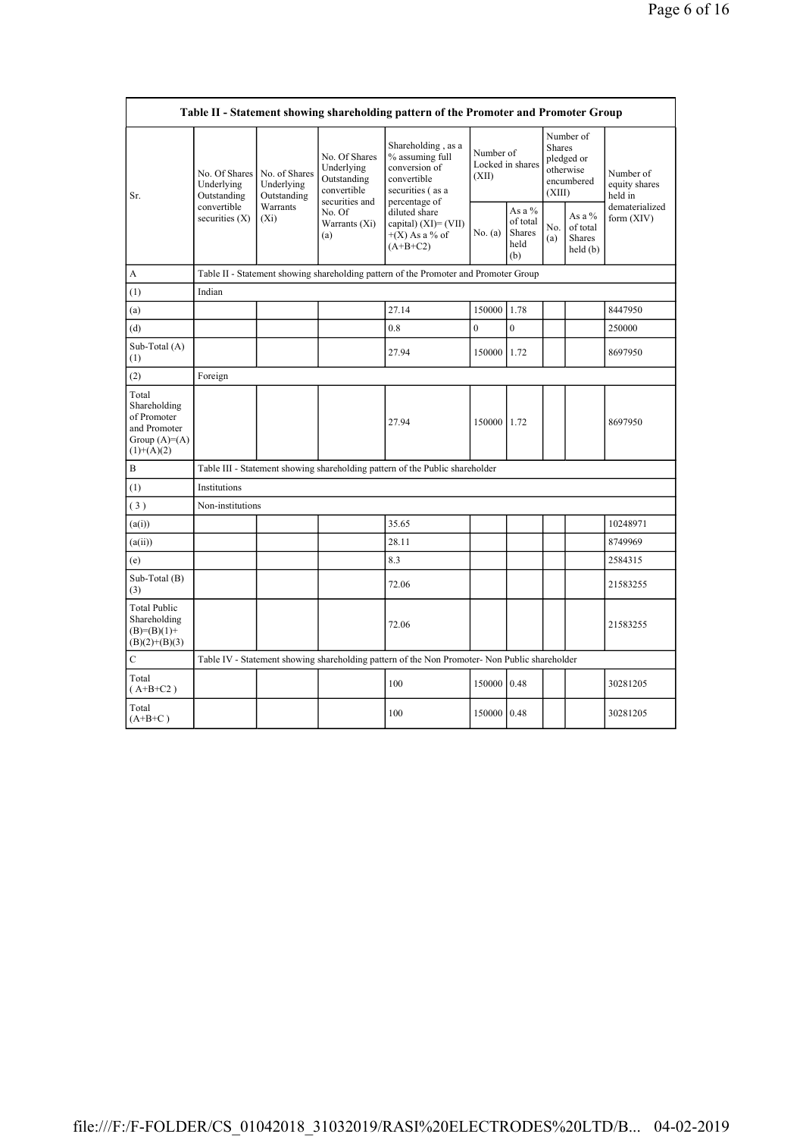| Table II - Statement showing shareholding pattern of the Promoter and Promoter Group   |                                                                               |                                            |                                                                             |                                                                                              |                                        |                                             |                                                                               |                                         |                                       |  |
|----------------------------------------------------------------------------------------|-------------------------------------------------------------------------------|--------------------------------------------|-----------------------------------------------------------------------------|----------------------------------------------------------------------------------------------|----------------------------------------|---------------------------------------------|-------------------------------------------------------------------------------|-----------------------------------------|---------------------------------------|--|
| Sr.                                                                                    | No. Of Shares<br>Underlying<br>Outstanding<br>convertible<br>securities $(X)$ | No. of Shares<br>Underlying<br>Outstanding | No. Of Shares<br>Underlying<br>Outstanding<br>convertible<br>securities and | Shareholding, as a<br>% assuming full<br>conversion of<br>convertible<br>securities (as a    | Number of<br>Locked in shares<br>(XII) |                                             | Number of<br><b>Shares</b><br>pledged or<br>otherwise<br>encumbered<br>(XIII) |                                         | Number of<br>equity shares<br>held in |  |
|                                                                                        |                                                                               | Warrants<br>$(X_i)$                        | No. Of<br>Warrants $(X_i)$<br>(a)                                           | percentage of<br>diluted share<br>capital) $(XI) = (VII)$<br>$+(X)$ As a % of<br>$(A+B+C2)$  | No. (a)                                | As a %<br>of total<br>Shares<br>held<br>(b) | No.<br>(a)                                                                    | As a %<br>of total<br>Shares<br>held(b) | dematerialized<br>form $(XIV)$        |  |
| А                                                                                      |                                                                               |                                            |                                                                             | Table II - Statement showing shareholding pattern of the Promoter and Promoter Group         |                                        |                                             |                                                                               |                                         |                                       |  |
| (1)                                                                                    | Indian                                                                        |                                            |                                                                             |                                                                                              |                                        |                                             |                                                                               |                                         |                                       |  |
| (a)                                                                                    |                                                                               |                                            |                                                                             | 27.14                                                                                        | 150000                                 | 1.78                                        |                                                                               |                                         | 8447950                               |  |
| (d)                                                                                    |                                                                               |                                            |                                                                             | 0.8                                                                                          | $\mathbf{0}$                           | $\mathbf{0}$                                |                                                                               |                                         | 250000                                |  |
| Sub-Total (A)<br>(1)                                                                   |                                                                               |                                            |                                                                             | 27.94                                                                                        | 150000                                 | 1.72                                        |                                                                               |                                         | 8697950                               |  |
| (2)                                                                                    | Foreign                                                                       |                                            |                                                                             |                                                                                              |                                        |                                             |                                                                               |                                         |                                       |  |
| Total<br>Shareholding<br>of Promoter<br>and Promoter<br>Group $(A)=A)$<br>$(1)+(A)(2)$ |                                                                               |                                            |                                                                             | 27.94                                                                                        | 150000                                 | 1.72                                        |                                                                               |                                         | 8697950                               |  |
| B                                                                                      |                                                                               |                                            |                                                                             | Table III - Statement showing shareholding pattern of the Public shareholder                 |                                        |                                             |                                                                               |                                         |                                       |  |
| (1)                                                                                    | Institutions                                                                  |                                            |                                                                             |                                                                                              |                                        |                                             |                                                                               |                                         |                                       |  |
| (3)                                                                                    | Non-institutions                                                              |                                            |                                                                             |                                                                                              |                                        |                                             |                                                                               |                                         |                                       |  |
| (a(i))                                                                                 |                                                                               |                                            |                                                                             | 35.65                                                                                        |                                        |                                             |                                                                               |                                         | 10248971                              |  |
| (a(ii))                                                                                |                                                                               |                                            |                                                                             | 28.11                                                                                        |                                        |                                             |                                                                               |                                         | 8749969                               |  |
| (e)                                                                                    |                                                                               |                                            |                                                                             | 8.3                                                                                          |                                        |                                             |                                                                               |                                         | 2584315                               |  |
| Sub-Total (B)<br>(3)                                                                   |                                                                               |                                            |                                                                             | 72.06                                                                                        |                                        |                                             |                                                                               |                                         | 21583255                              |  |
| <b>Total Public</b><br>Shareholding<br>$(B)= (B)(1) +$<br>$(B)(2)+(B)(3)$              |                                                                               |                                            |                                                                             | 72.06                                                                                        |                                        |                                             |                                                                               |                                         | 21583255                              |  |
| $\mathcal{C}$                                                                          |                                                                               |                                            |                                                                             | Table IV - Statement showing shareholding pattern of the Non Promoter-Non Public shareholder |                                        |                                             |                                                                               |                                         |                                       |  |
| Total<br>$(A+B+C2)$                                                                    |                                                                               |                                            |                                                                             | 100                                                                                          | 150000                                 | 0.48                                        |                                                                               |                                         | 30281205                              |  |
| Total<br>$(A+B+C)$                                                                     |                                                                               |                                            |                                                                             | 100                                                                                          | 150000 0.48                            |                                             |                                                                               |                                         | 30281205                              |  |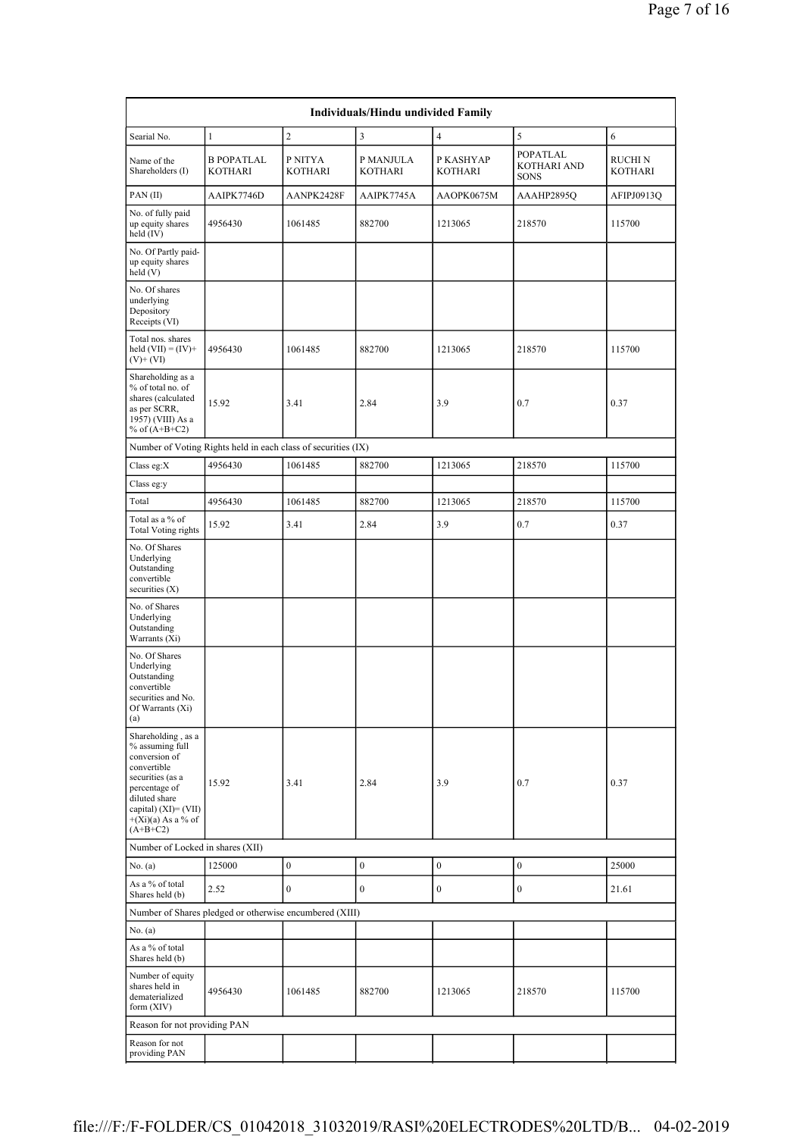|                                                                                                                                                                                              |                                                               |                    | Individuals/Hindu undivided Family |                      |                                 |                    |
|----------------------------------------------------------------------------------------------------------------------------------------------------------------------------------------------|---------------------------------------------------------------|--------------------|------------------------------------|----------------------|---------------------------------|--------------------|
| Searial No.                                                                                                                                                                                  | $\mathbf{1}$                                                  | $\overline{c}$     | 3                                  | $\overline{4}$       | 5                               | 6                  |
| Name of the<br>Shareholders (I)                                                                                                                                                              | <b>B POPATLAL</b><br>KOTHARI                                  | P NITYA<br>KOTHARI | P MANJULA<br>KOTHARI               | P KASHYAP<br>KOTHARI | POPATLAL<br>KOTHARI AND<br>SONS | RUCHI N<br>KOTHARI |
| PAN(II)                                                                                                                                                                                      | AAIPK7746D                                                    | AANPK2428F         | AAIPK7745A                         | AAOPK0675M           | AAAHP2895Q                      | AFIPJ0913Q         |
| No. of fully paid<br>up equity shares<br>held (IV)                                                                                                                                           | 4956430                                                       | 1061485            | 882700                             | 1213065              | 218570                          | 115700             |
| No. Of Partly paid-<br>up equity shares<br>held (V)                                                                                                                                          |                                                               |                    |                                    |                      |                                 |                    |
| No. Of shares<br>underlying<br>Depository<br>Receipts (VI)                                                                                                                                   |                                                               |                    |                                    |                      |                                 |                    |
| Total nos. shares<br>held $(VII) = (IV) +$<br>$(V)+(VI)$                                                                                                                                     | 4956430                                                       | 1061485            | 882700                             | 1213065              | 218570                          | 115700             |
| Shareholding as a<br>% of total no. of<br>shares (calculated<br>as per SCRR,<br>1957) (VIII) As a<br>% of $(A+B+C2)$                                                                         | 15.92                                                         | 3.41               | 2.84                               | 3.9                  | 0.7                             | 0.37               |
|                                                                                                                                                                                              | Number of Voting Rights held in each class of securities (IX) |                    |                                    |                      |                                 |                    |
| Class eg:X                                                                                                                                                                                   | 4956430                                                       | 1061485            | 882700                             | 1213065              | 218570                          | 115700             |
| Class eg:y                                                                                                                                                                                   |                                                               |                    |                                    |                      |                                 |                    |
| Total                                                                                                                                                                                        | 4956430                                                       | 1061485            | 882700                             | 1213065              | 218570                          | 115700             |
| Total as a % of<br><b>Total Voting rights</b>                                                                                                                                                | 15.92                                                         | 3.41               | 2.84                               | 3.9                  | 0.7                             | 0.37               |
| No. Of Shares<br>Underlying<br>Outstanding<br>convertible<br>securities $(X)$                                                                                                                |                                                               |                    |                                    |                      |                                 |                    |
| No. of Shares<br>Underlying<br>Outstanding<br>Warrants (Xi)                                                                                                                                  |                                                               |                    |                                    |                      |                                 |                    |
| No. Of Shares<br>Underlying<br>Outstanding<br>convertible<br>securities and No.<br>Of Warrants (Xi)<br>(a)                                                                                   |                                                               |                    |                                    |                      |                                 |                    |
| Shareholding, as a<br>% assuming full<br>conversion of<br>convertible<br>securities (as a<br>percentage of<br>diluted share<br>capital) $(XI) = (VII)$<br>$+(Xi)(a)$ As a % of<br>$(A+B+C2)$ | 15.92                                                         | 3.41               | 2.84                               | 3.9                  | 0.7                             | 0.37               |
| Number of Locked in shares (XII)                                                                                                                                                             |                                                               |                    |                                    |                      |                                 |                    |
| No. $(a)$                                                                                                                                                                                    | 125000                                                        | $\boldsymbol{0}$   | $\boldsymbol{0}$                   | $\boldsymbol{0}$     | $\boldsymbol{0}$                | 25000              |
| As a % of total<br>Shares held (b)                                                                                                                                                           | 2.52                                                          | $\overline{0}$     | $\mathbf{0}$                       | $\mathbf{0}$         | $\boldsymbol{0}$                | 21.61              |
|                                                                                                                                                                                              | Number of Shares pledged or otherwise encumbered (XIII)       |                    |                                    |                      |                                 |                    |
| No. $(a)$                                                                                                                                                                                    |                                                               |                    |                                    |                      |                                 |                    |
| As a % of total<br>Shares held (b)                                                                                                                                                           |                                                               |                    |                                    |                      |                                 |                    |
| Number of equity<br>shares held in<br>dematerialized<br>form $(XIV)$                                                                                                                         | 4956430                                                       | 1061485            | 882700                             | 1213065              | 218570                          | 115700             |
|                                                                                                                                                                                              | Reason for not providing PAN                                  |                    |                                    |                      |                                 |                    |
|                                                                                                                                                                                              |                                                               |                    |                                    |                      |                                 |                    |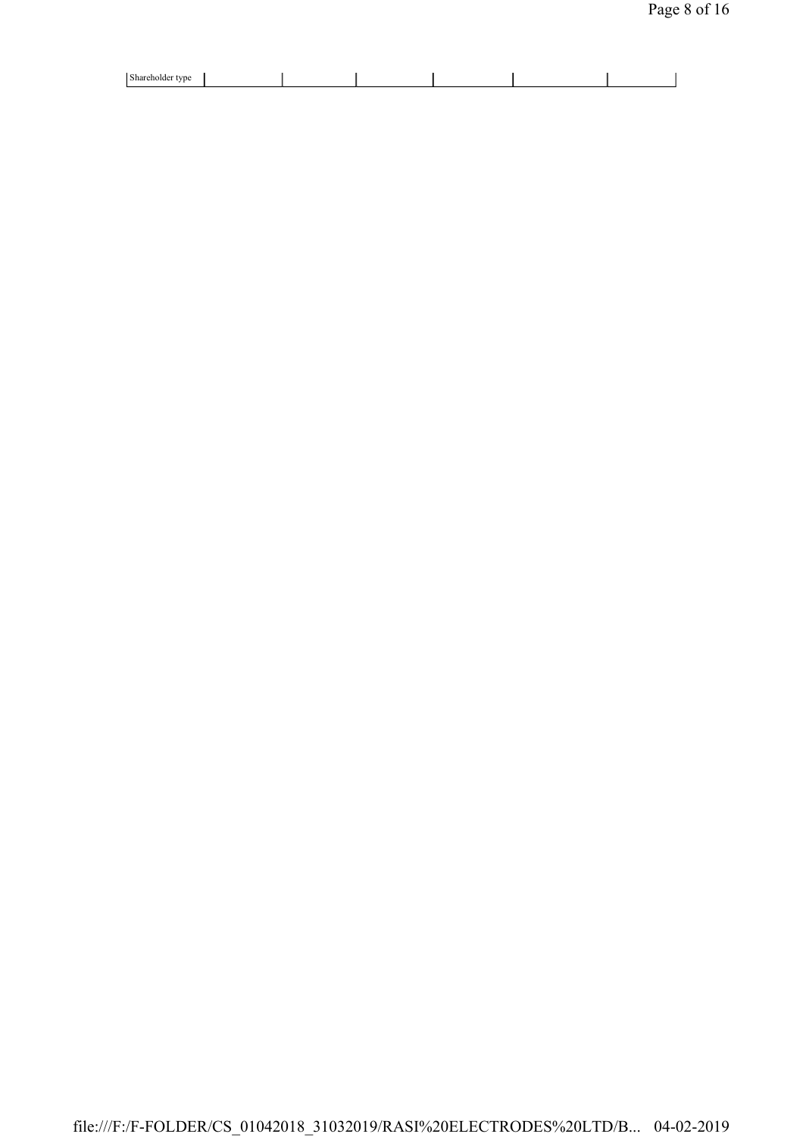| Shareholder<br>type<br>. |  |  |  |
|--------------------------|--|--|--|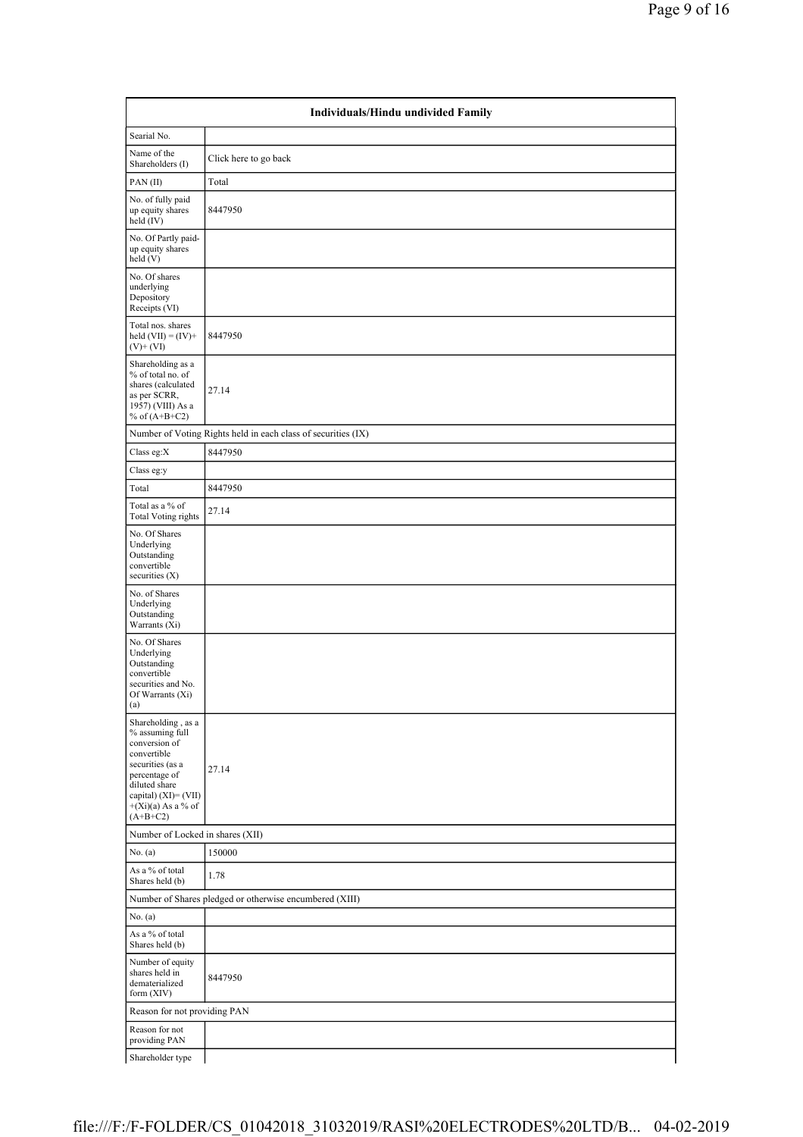|                                                                                                                                                                                              | Individuals/Hindu undivided Family                            |
|----------------------------------------------------------------------------------------------------------------------------------------------------------------------------------------------|---------------------------------------------------------------|
| Searial No.                                                                                                                                                                                  |                                                               |
| Name of the<br>Shareholders (I)                                                                                                                                                              | Click here to go back                                         |
| PAN(II)                                                                                                                                                                                      | Total                                                         |
| No. of fully paid<br>up equity shares<br>held (IV)                                                                                                                                           | 8447950                                                       |
| No. Of Partly paid-<br>up equity shares<br>held(V)                                                                                                                                           |                                                               |
| No. Of shares<br>underlying<br>Depository<br>Receipts (VI)                                                                                                                                   |                                                               |
| Total nos. shares<br>held $(VII) = (IV) +$<br>$(V) + (VI)$                                                                                                                                   | 8447950                                                       |
| Shareholding as a<br>% of total no. of<br>shares (calculated<br>as per SCRR,<br>1957) (VIII) As a<br>% of $(A+B+C2)$                                                                         | 27.14                                                         |
|                                                                                                                                                                                              | Number of Voting Rights held in each class of securities (IX) |
| Class eg:X                                                                                                                                                                                   | 8447950                                                       |
| Class eg:y                                                                                                                                                                                   |                                                               |
| Total                                                                                                                                                                                        | 8447950                                                       |
| Total as a % of<br><b>Total Voting rights</b>                                                                                                                                                | 27.14                                                         |
| No. Of Shares<br>Underlying<br>Outstanding<br>convertible<br>securities (X)                                                                                                                  |                                                               |
| No. of Shares<br>Underlying<br>Outstanding<br>Warrants $(X_i)$                                                                                                                               |                                                               |
| No. Of Shares<br>Underlying<br>Outstanding<br>convertible<br>securities and No.<br>Of Warrants (Xi)<br>(a)                                                                                   |                                                               |
| Shareholding, as a<br>% assuming full<br>conversion of<br>convertible<br>securities (as a<br>percentage of<br>diluted share<br>capital) $(XI) = (VII)$<br>$+(Xi)(a)$ As a % of<br>$(A+B+C2)$ | 27.14                                                         |
| Number of Locked in shares (XII)                                                                                                                                                             |                                                               |
| No. (a)                                                                                                                                                                                      | 150000                                                        |
| As a % of total<br>Shares held (b)                                                                                                                                                           | 1.78                                                          |
|                                                                                                                                                                                              | Number of Shares pledged or otherwise encumbered (XIII)       |
| No. (a)                                                                                                                                                                                      |                                                               |
| As a % of total<br>Shares held (b)                                                                                                                                                           |                                                               |
| Number of equity<br>shares held in<br>dematerialized<br>form (XIV)                                                                                                                           | 8447950                                                       |
| Reason for not providing PAN                                                                                                                                                                 |                                                               |
| Reason for not                                                                                                                                                                               |                                                               |
| providing PAN                                                                                                                                                                                |                                                               |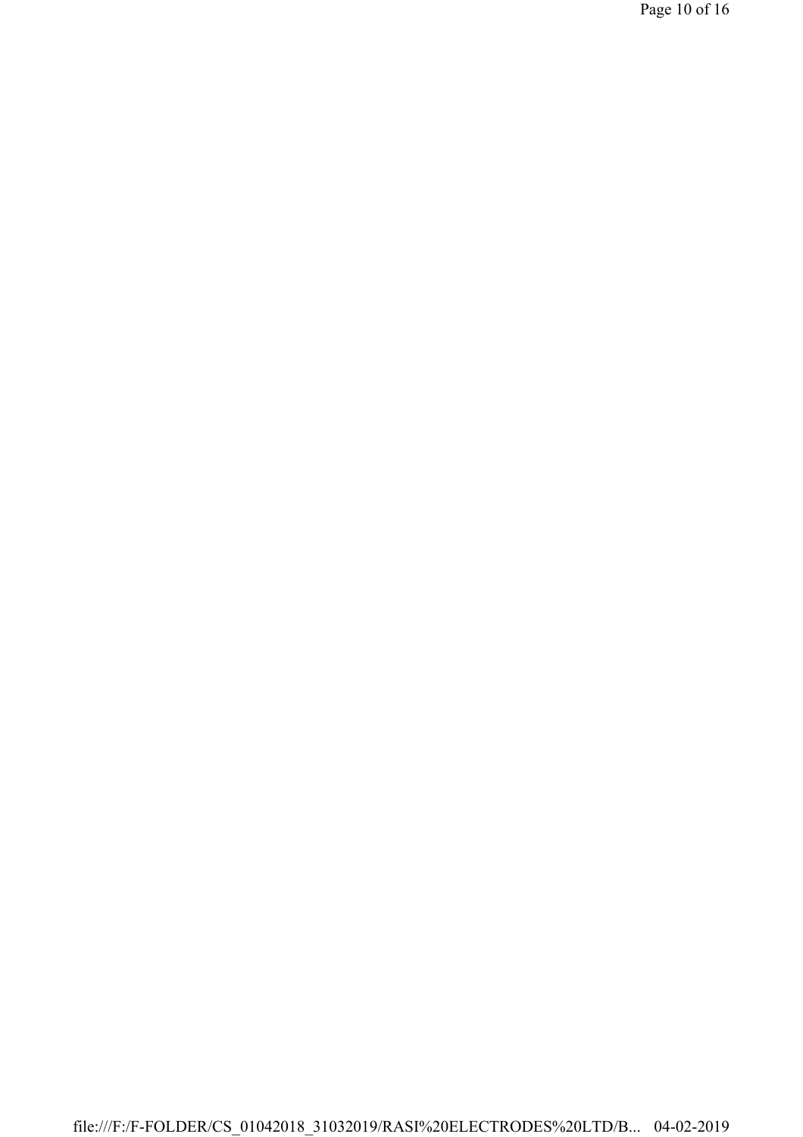Page 10 of 16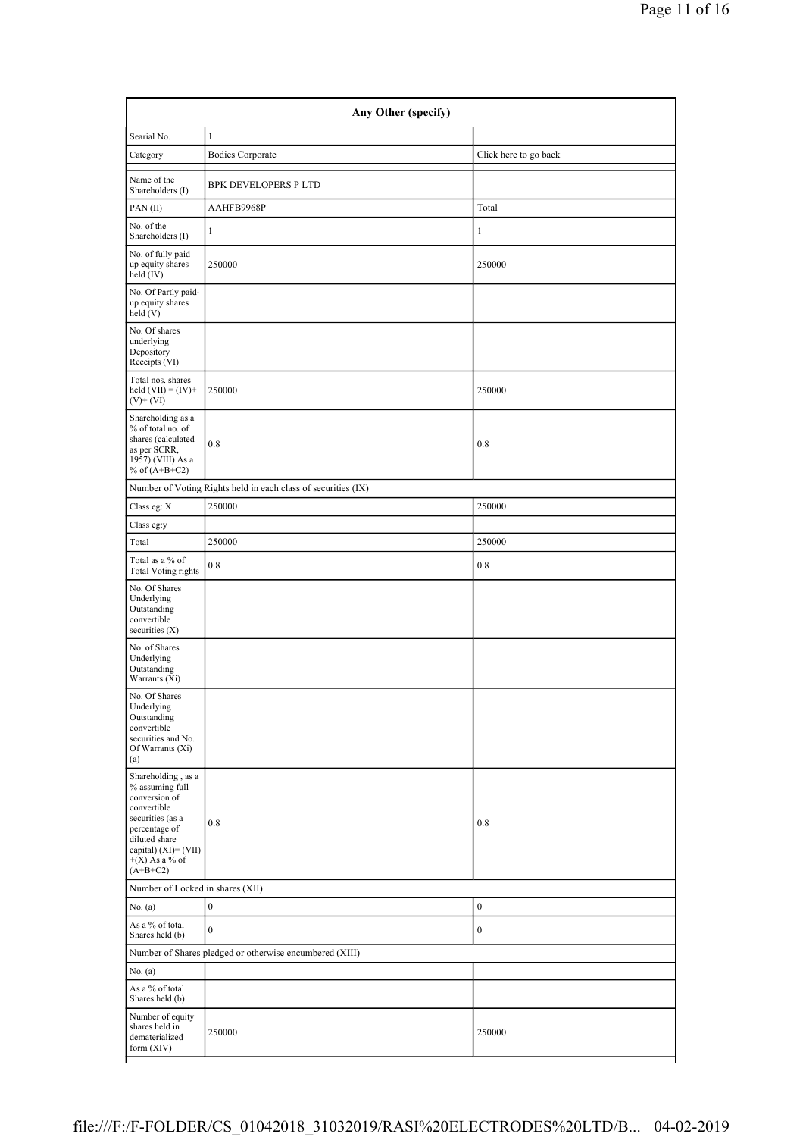| Searial No.                                                                                                                                                                              | $\mathbf{1}$                                                  |                       |  |
|------------------------------------------------------------------------------------------------------------------------------------------------------------------------------------------|---------------------------------------------------------------|-----------------------|--|
| Category                                                                                                                                                                                 | <b>Bodies Corporate</b>                                       | Click here to go back |  |
| Name of the<br>Shareholders (I)                                                                                                                                                          | <b>BPK DEVELOPERS P LTD</b>                                   |                       |  |
| PAN(II)                                                                                                                                                                                  | AAHFB9968P                                                    | Total                 |  |
| No. of the<br>Shareholders (I)                                                                                                                                                           | $\mathbf{1}$                                                  | $\mathbf{1}$          |  |
| No. of fully paid<br>up equity shares<br>held (IV)                                                                                                                                       | 250000                                                        | 250000                |  |
| No. Of Partly paid-<br>up equity shares<br>$\text{held}(V)$                                                                                                                              |                                                               |                       |  |
| No. Of shares<br>underlying<br>Depository<br>Receipts (VI)                                                                                                                               |                                                               |                       |  |
| Total nos. shares<br>held $(VII) = (IV) +$<br>$(V)+(VI)$                                                                                                                                 | 250000                                                        | 250000                |  |
| Shareholding as a<br>% of total no. of<br>shares (calculated<br>as per SCRR,<br>1957) (VIII) As a<br>% of $(A+B+C2)$                                                                     | 0.8                                                           | 0.8                   |  |
|                                                                                                                                                                                          | Number of Voting Rights held in each class of securities (IX) |                       |  |
| Class eg: X                                                                                                                                                                              | 250000                                                        | 250000                |  |
| Class eg:y                                                                                                                                                                               |                                                               |                       |  |
| Total                                                                                                                                                                                    | 250000                                                        | 250000                |  |
| Total as a % of<br><b>Total Voting rights</b>                                                                                                                                            | 0.8                                                           | 0.8                   |  |
| No. Of Shares<br>Underlying<br>Outstanding<br>convertible<br>securities $(X)$                                                                                                            |                                                               |                       |  |
| No. of Shares<br>Underlying<br>Outstanding<br>Warrants $(X_i)$                                                                                                                           |                                                               |                       |  |
| No. Of Shares<br>Underlying<br>Outstanding<br>convertible<br>securities and No.<br>Of Warrants (Xi)<br>(a)                                                                               |                                                               |                       |  |
| Shareholding, as a<br>% assuming full<br>conversion of<br>convertible<br>securities (as a<br>percentage of<br>diluted share<br>capital) $(XI) = (VII)$<br>$+(X)$ As a % of<br>$(A+B+C2)$ | 0.8                                                           | 0.8                   |  |
| Number of Locked in shares (XII)                                                                                                                                                         |                                                               |                       |  |
| No. $(a)$                                                                                                                                                                                | $\overline{0}$                                                | $\boldsymbol{0}$      |  |
| As a % of total<br>Shares held (b)                                                                                                                                                       | $\theta$                                                      | $\boldsymbol{0}$      |  |
|                                                                                                                                                                                          | Number of Shares pledged or otherwise encumbered (XIII)       |                       |  |
| No. (a)                                                                                                                                                                                  |                                                               |                       |  |
| As a $\%$ of total<br>Shares held (b)                                                                                                                                                    |                                                               |                       |  |
| Number of equity<br>shares held in<br>dematerialized<br>form (XIV)                                                                                                                       | 250000                                                        | 250000                |  |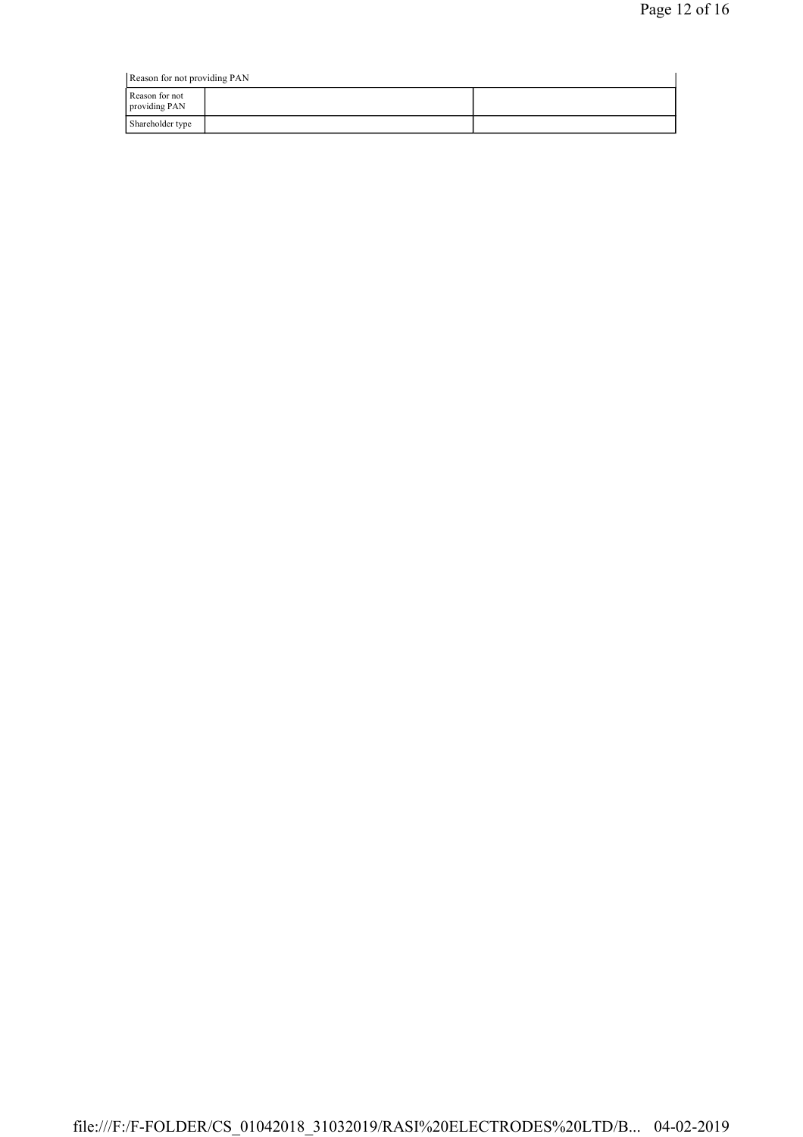| Reason for not providing PAN    |  |  |  |  |  |  |  |  |
|---------------------------------|--|--|--|--|--|--|--|--|
| Reason for not<br>providing PAN |  |  |  |  |  |  |  |  |
| Shareholder type                |  |  |  |  |  |  |  |  |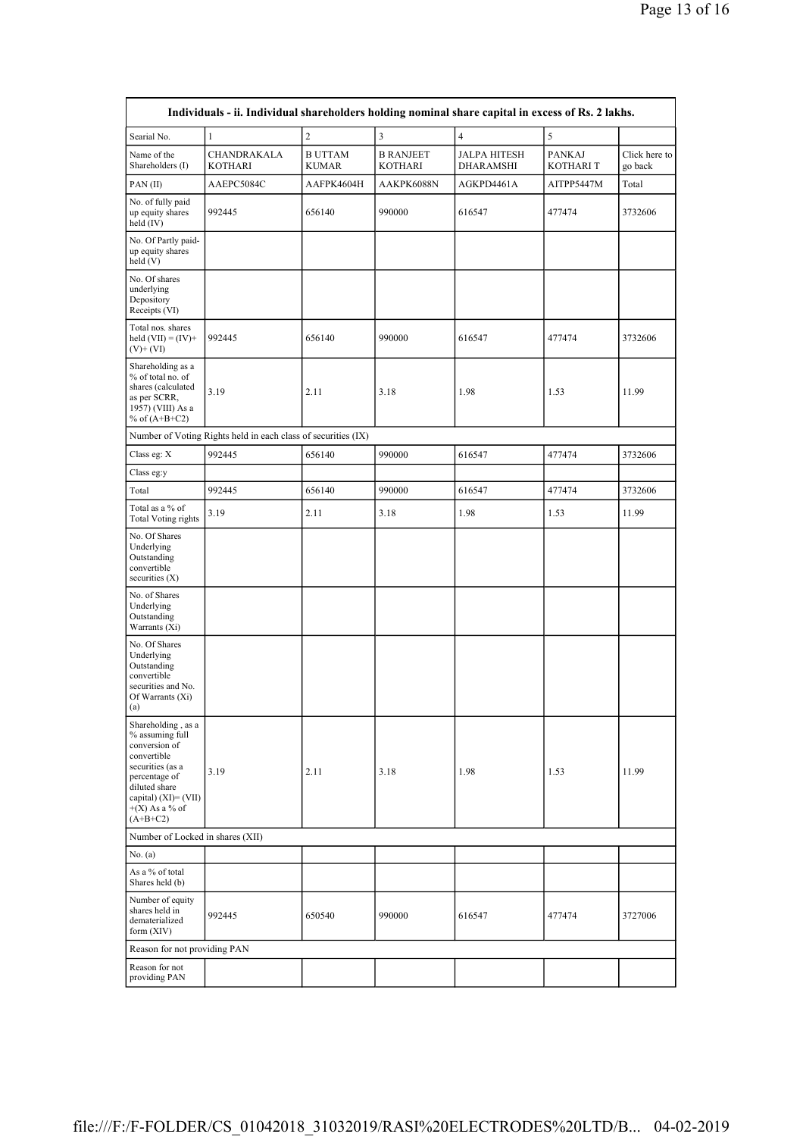|                                                                                                                                                                                          | Individuals - ii. Individual shareholders holding nominal share capital in excess of Rs. 2 lakhs. |                        |                             |                           |                                  |                          |
|------------------------------------------------------------------------------------------------------------------------------------------------------------------------------------------|---------------------------------------------------------------------------------------------------|------------------------|-----------------------------|---------------------------|----------------------------------|--------------------------|
| Searial No.                                                                                                                                                                              | $\mathbf{1}$                                                                                      | $\overline{c}$         | $\overline{\mathbf{3}}$     | $\overline{\mathbf{4}}$   | 5                                |                          |
| Name of the<br>Shareholders (I)                                                                                                                                                          | CHANDRAKALA<br><b>KOTHARI</b>                                                                     | <b>BUTTAM</b><br>KUMAR | <b>B RANJEET</b><br>KOTHARI | JALPA HITESH<br>DHARAMSHI | <b>PANKAJ</b><br><b>KOTHARIT</b> | Click here to<br>go back |
| PAN(II)                                                                                                                                                                                  | AAEPC5084C                                                                                        | AAFPK4604H             | AAKPK6088N                  | AGKPD4461A                | AITPP5447M                       | Total                    |
| No. of fully paid<br>up equity shares<br>held (IV)                                                                                                                                       | 992445                                                                                            | 656140                 | 990000                      | 616547                    | 477474                           | 3732606                  |
| No. Of Partly paid-<br>up equity shares<br>held(V)                                                                                                                                       |                                                                                                   |                        |                             |                           |                                  |                          |
| No. Of shares<br>underlying<br>Depository<br>Receipts (VI)                                                                                                                               |                                                                                                   |                        |                             |                           |                                  |                          |
| Total nos. shares<br>held $(VII) = (IV) +$<br>$(V)$ + $(VI)$                                                                                                                             | 992445                                                                                            | 656140                 | 990000                      | 616547                    | 477474                           | 3732606                  |
| Shareholding as a<br>% of total no. of<br>shares (calculated<br>as per SCRR,<br>1957) (VIII) As a<br>% of $(A+B+C2)$                                                                     | 3.19                                                                                              | 2.11                   | 3.18                        | 1.98                      | 1.53                             | 11.99                    |
|                                                                                                                                                                                          | Number of Voting Rights held in each class of securities (IX)                                     |                        |                             |                           |                                  |                          |
| Class eg: X                                                                                                                                                                              | 992445                                                                                            | 656140                 | 990000                      | 616547                    | 477474                           | 3732606                  |
| Class eg:y                                                                                                                                                                               |                                                                                                   |                        |                             |                           |                                  |                          |
| Total                                                                                                                                                                                    | 992445                                                                                            | 656140                 | 990000                      | 616547                    | 477474                           | 3732606                  |
| Total as a % of<br><b>Total Voting rights</b>                                                                                                                                            | 3.19                                                                                              | 2.11                   | 3.18                        | 1.98                      | 1.53                             | 11.99                    |
| No. Of Shares<br>Underlying<br>Outstanding<br>convertible<br>securities $(X)$                                                                                                            |                                                                                                   |                        |                             |                           |                                  |                          |
| No. of Shares<br>Underlying<br>Outstanding<br>Warrants (Xi)                                                                                                                              |                                                                                                   |                        |                             |                           |                                  |                          |
| No. Of Shares<br>Underlying<br>Outstanding<br>convertible<br>securities and No.<br>Of Warrants (Xi)<br>(a)                                                                               |                                                                                                   |                        |                             |                           |                                  |                          |
| Shareholding, as a<br>% assuming full<br>conversion of<br>convertible<br>securities (as a<br>percentage of<br>diluted share<br>capital) $(XI) = (VII)$<br>$+(X)$ As a % of<br>$(A+B+C2)$ | 3.19                                                                                              | 2.11                   | 3.18                        | 1.98                      | 1.53                             | 11.99                    |
| Number of Locked in shares (XII)                                                                                                                                                         |                                                                                                   |                        |                             |                           |                                  |                          |
| No. (a)                                                                                                                                                                                  |                                                                                                   |                        |                             |                           |                                  |                          |
| As a % of total<br>Shares held (b)                                                                                                                                                       |                                                                                                   |                        |                             |                           |                                  |                          |
| Number of equity<br>shares held in<br>dematerialized<br>form $(XIV)$                                                                                                                     | 992445                                                                                            | 650540                 | 990000                      | 616547                    | 477474                           | 3727006                  |
| Reason for not providing PAN                                                                                                                                                             |                                                                                                   |                        |                             |                           |                                  |                          |
| Reason for not<br>providing PAN                                                                                                                                                          |                                                                                                   |                        |                             |                           |                                  |                          |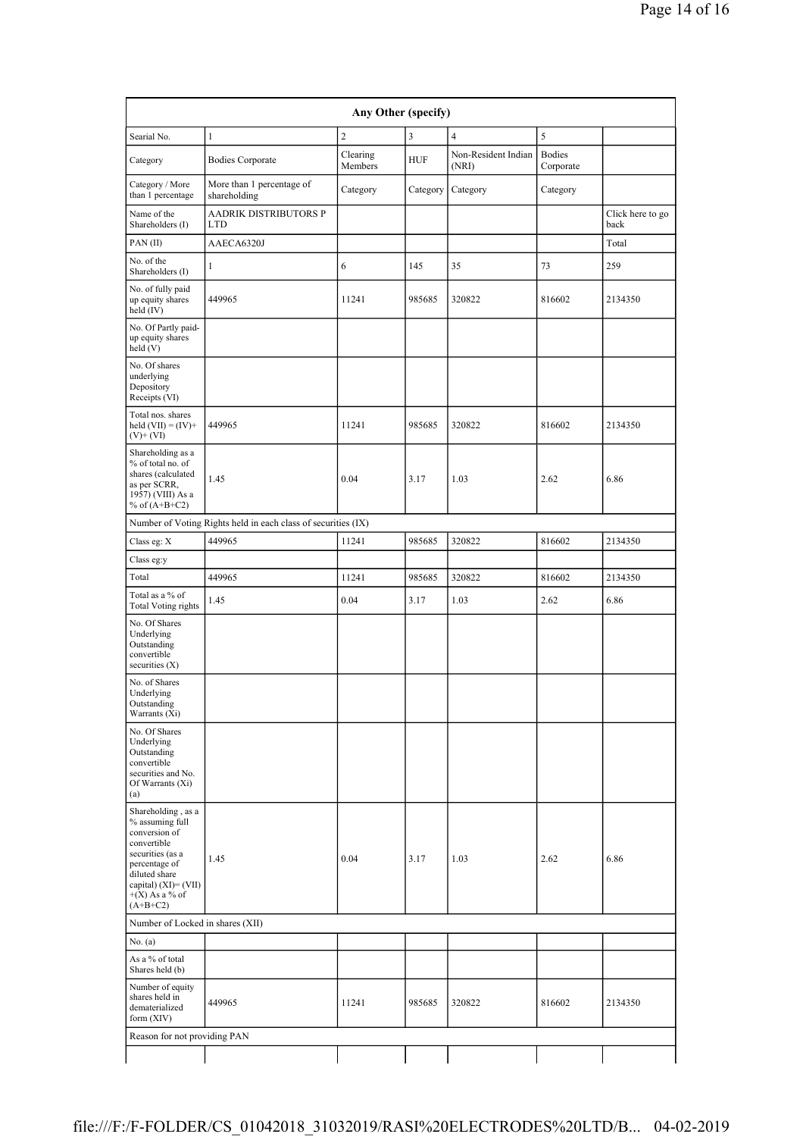| Any Other (specify)                                                                                                                                                                      |                                            |                     |            |                              |                            |                          |  |  |  |  |
|------------------------------------------------------------------------------------------------------------------------------------------------------------------------------------------|--------------------------------------------|---------------------|------------|------------------------------|----------------------------|--------------------------|--|--|--|--|
| Searial No.                                                                                                                                                                              | $\mathbf{1}$                               | $\overline{c}$      | 3          | $\overline{4}$               | 5                          |                          |  |  |  |  |
| Category                                                                                                                                                                                 | <b>Bodies Corporate</b>                    | Clearing<br>Members | <b>HUF</b> | Non-Resident Indian<br>(NRI) | <b>Bodies</b><br>Corporate |                          |  |  |  |  |
| Category / More<br>than 1 percentage                                                                                                                                                     | More than 1 percentage of<br>shareholding  | Category            | Category   | Category                     | Category                   |                          |  |  |  |  |
| Name of the<br>Shareholders (I)                                                                                                                                                          | <b>AADRIK DISTRIBUTORS P</b><br><b>LTD</b> |                     |            |                              |                            | Click here to go<br>back |  |  |  |  |
| PAN(II)                                                                                                                                                                                  | AAECA6320J                                 |                     |            |                              |                            | Total                    |  |  |  |  |
| No. of the<br>Shareholders (I)                                                                                                                                                           | 1                                          | 6                   | 145        | 35                           | 73                         | 259                      |  |  |  |  |
| No. of fully paid<br>up equity shares<br>held (IV)                                                                                                                                       | 449965                                     | 11241               | 985685     | 320822                       | 816602                     | 2134350                  |  |  |  |  |
| No. Of Partly paid-<br>up equity shares<br>held (V)                                                                                                                                      |                                            |                     |            |                              |                            |                          |  |  |  |  |
| No. Of shares<br>underlying<br>Depository<br>Receipts (VI)                                                                                                                               |                                            |                     |            |                              |                            |                          |  |  |  |  |
| Total nos. shares<br>held $(VII) = (IV) +$<br>$(V)$ + (VI)                                                                                                                               | 449965                                     | 11241               | 985685     | 320822                       | 816602                     | 2134350                  |  |  |  |  |
| Shareholding as a<br>% of total no. of<br>shares (calculated<br>as per SCRR,<br>1957) (VIII) As a<br>% of $(A+B+C2)$                                                                     | 1.45                                       | 0.04                | 3.17       | 1.03                         | 2.62                       | 6.86                     |  |  |  |  |
| Number of Voting Rights held in each class of securities (IX)                                                                                                                            |                                            |                     |            |                              |                            |                          |  |  |  |  |
| Class eg: X                                                                                                                                                                              | 449965                                     | 11241               | 985685     | 320822                       | 816602                     | 2134350                  |  |  |  |  |
| Class eg:y                                                                                                                                                                               |                                            |                     |            |                              |                            |                          |  |  |  |  |
| Total                                                                                                                                                                                    | 449965                                     | 11241               | 985685     | 320822                       | 816602                     | 2134350                  |  |  |  |  |
| Total as a % of<br><b>Total Voting rights</b>                                                                                                                                            | 1.45                                       | 0.04                | 3.17       | 1.03                         | 2.62                       | 6.86                     |  |  |  |  |
| No. Of Shares<br>Underlying<br>Outstanding<br>convertible<br>securities $(X)$                                                                                                            |                                            |                     |            |                              |                            |                          |  |  |  |  |
| No. of Shares<br>Underlying<br>Outstanding<br>Warrants (Xi)                                                                                                                              |                                            |                     |            |                              |                            |                          |  |  |  |  |
| No. Of Shares<br>Underlying<br>Outstanding<br>convertible<br>securities and No.<br>Of Warrants (Xi)<br>(a)                                                                               |                                            |                     |            |                              |                            |                          |  |  |  |  |
| Shareholding, as a<br>% assuming full<br>conversion of<br>convertible<br>securities (as a<br>percentage of<br>diluted share<br>capital) $(XI) = (VII)$<br>$+(X)$ As a % of<br>$(A+B+C2)$ | 1.45                                       | 0.04                | 3.17       | 1.03                         | 2.62                       | 6.86                     |  |  |  |  |
| Number of Locked in shares (XII)                                                                                                                                                         |                                            |                     |            |                              |                            |                          |  |  |  |  |
| No. (a)                                                                                                                                                                                  |                                            |                     |            |                              |                            |                          |  |  |  |  |
| As a % of total<br>Shares held (b)                                                                                                                                                       |                                            |                     |            |                              |                            |                          |  |  |  |  |
| Number of equity<br>shares held in<br>dematerialized<br>form (XIV)                                                                                                                       | 449965                                     | 11241               | 985685     | 320822                       | 816602                     | 2134350                  |  |  |  |  |
| Reason for not providing PAN                                                                                                                                                             |                                            |                     |            |                              |                            |                          |  |  |  |  |
|                                                                                                                                                                                          |                                            |                     |            |                              |                            |                          |  |  |  |  |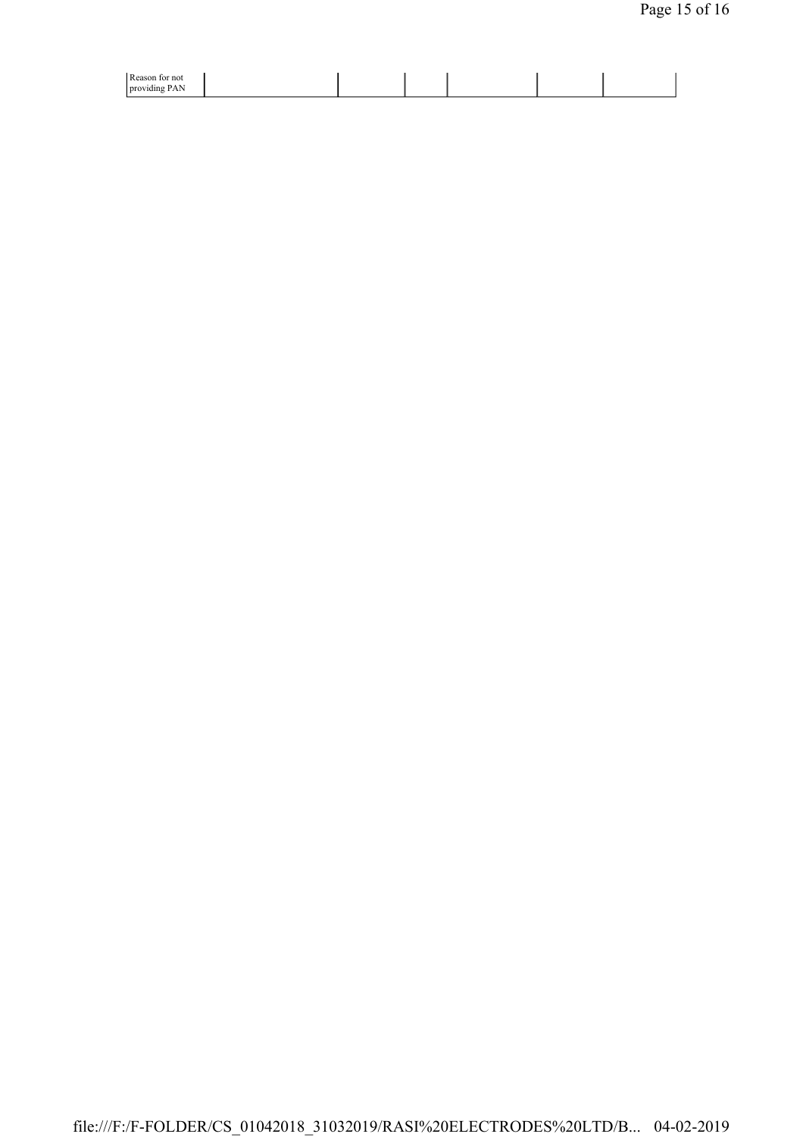| Reason<br>for not                           |  |  |  |
|---------------------------------------------|--|--|--|
| $\sim$<br><b>DAN</b><br>providing<br>, 1713 |  |  |  |